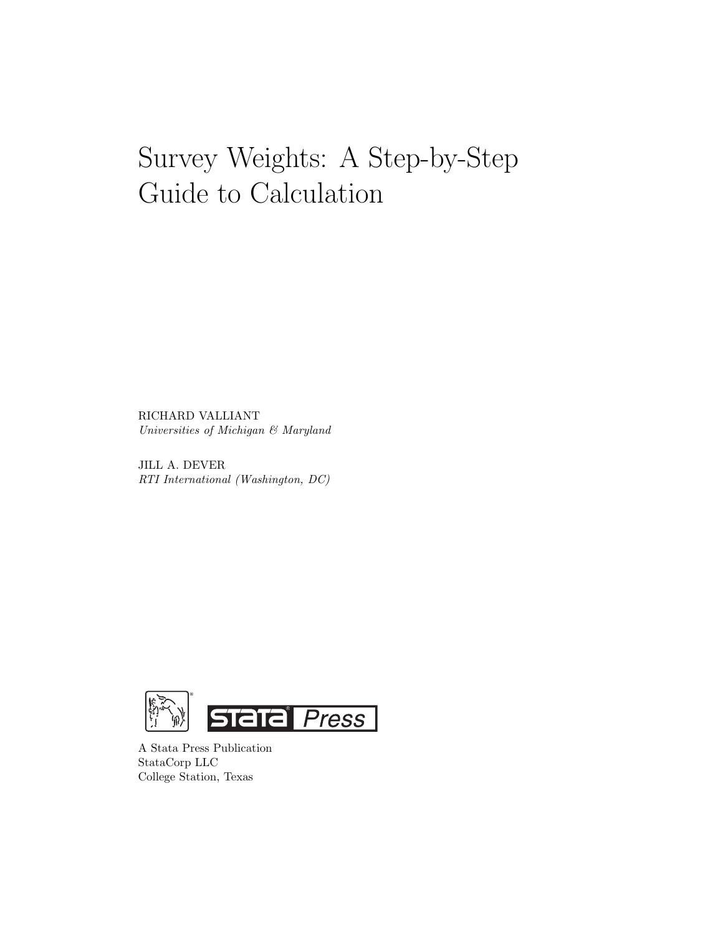# Survey Weights: A Step-by-Step Guide to Calculation

RICHARD VALLIANT Universities of Michigan & Maryland

JILL A. DEVER RTI International (Washington, DC)



A Stata Press Publication StataCorp LLC College Station, Texas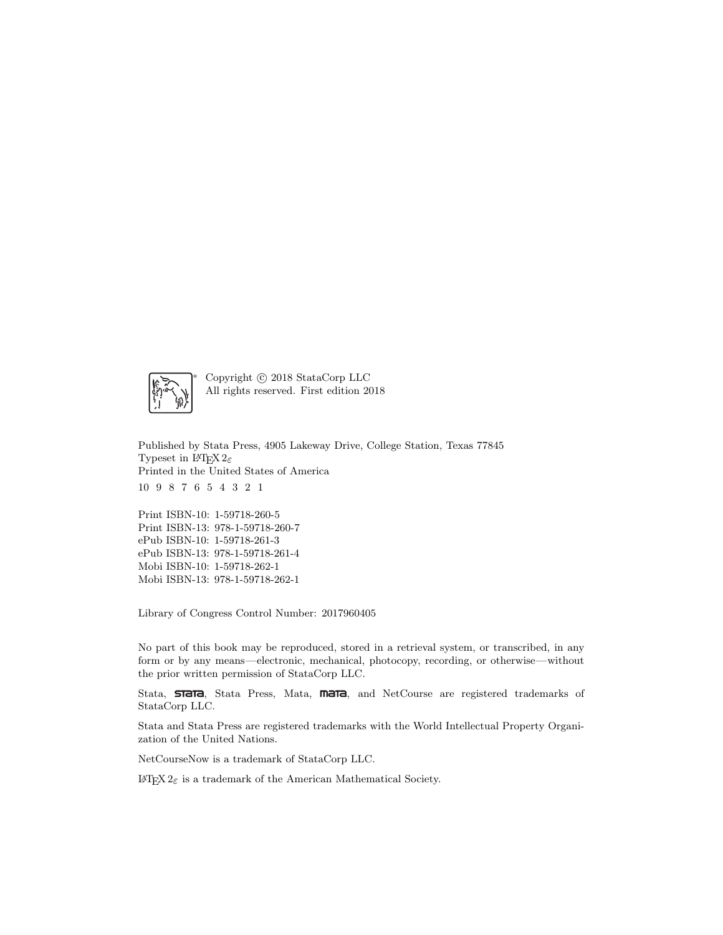

Copyright © 2018 StataCorp LLC All rights reserved. First edition 2018

Published by Stata Press, 4905 Lakeway Drive, College Station, Texas 77845 Typeset in  $\mathbb{F}$ F<sub>E</sub>X  $2\varepsilon$ Printed in the United States of America 10 9 8 7 6 5 4 3 2 1

Print ISBN-10: 1-59718-260-5 Print ISBN-13: 978-1-59718-260-7 ePub ISBN-10: 1-59718-261-3 ePub ISBN-13: 978-1-59718-261-4 Mobi ISBN-10: 1-59718-262-1

Mobi ISBN-13: 978-1-59718-262-1

Library of Congress Control Number: 2017960405

No part of this book may be reproduced, stored in a retrieval system, or transcribed, in any form or by any means—electronic, mechanical, photocopy, recording, or otherwise—without the prior written permission of StataCorp LLC.

Stata, **STata**, Stata Press, Mata, **mata**, and NetCourse are registered trademarks of StataCorp LLC.

Stata and Stata Press are registered trademarks with the World Intellectual Property Organization of the United Nations.

NetCourseNow is a trademark of StataCorp LLC.

 $\mathbb{F}\to \mathbb{F}$ 2 $\varepsilon$  is a trademark of the American Mathematical Society.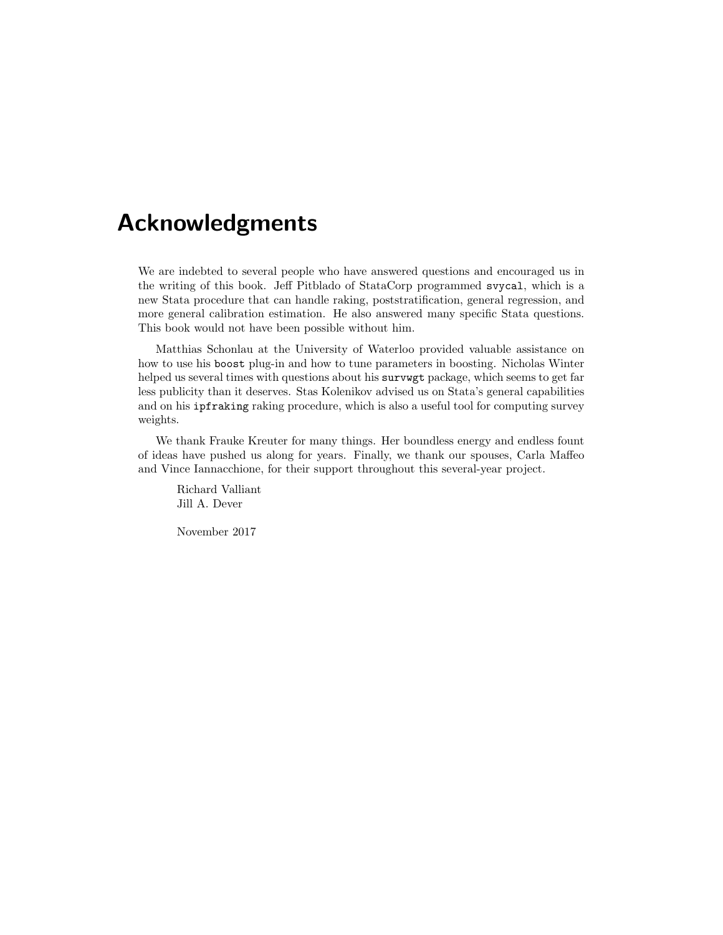## Acknowledgments

We are indebted to several people who have answered questions and encouraged us in the writing of this book. Jeff Pitblado of StataCorp programmed svycal, which is a new Stata procedure that can handle raking, poststratification, general regression, and more general calibration estimation. He also answered many specific Stata questions. This book would not have been possible without him.

Matthias Schonlau at the University of Waterloo provided valuable assistance on how to use his boost plug-in and how to tune parameters in boosting. Nicholas Winter helped us several times with questions about his survwgt package, which seems to get far less publicity than it deserves. Stas Kolenikov advised us on Stata's general capabilities and on his ipfraking raking procedure, which is also a useful tool for computing survey weights.

We thank Frauke Kreuter for many things. Her boundless energy and endless fount of ideas have pushed us along for years. Finally, we thank our spouses, Carla Maffeo and Vince Iannacchione, for their support throughout this several-year project.

Richard Valliant Jill A. Dever

November 2017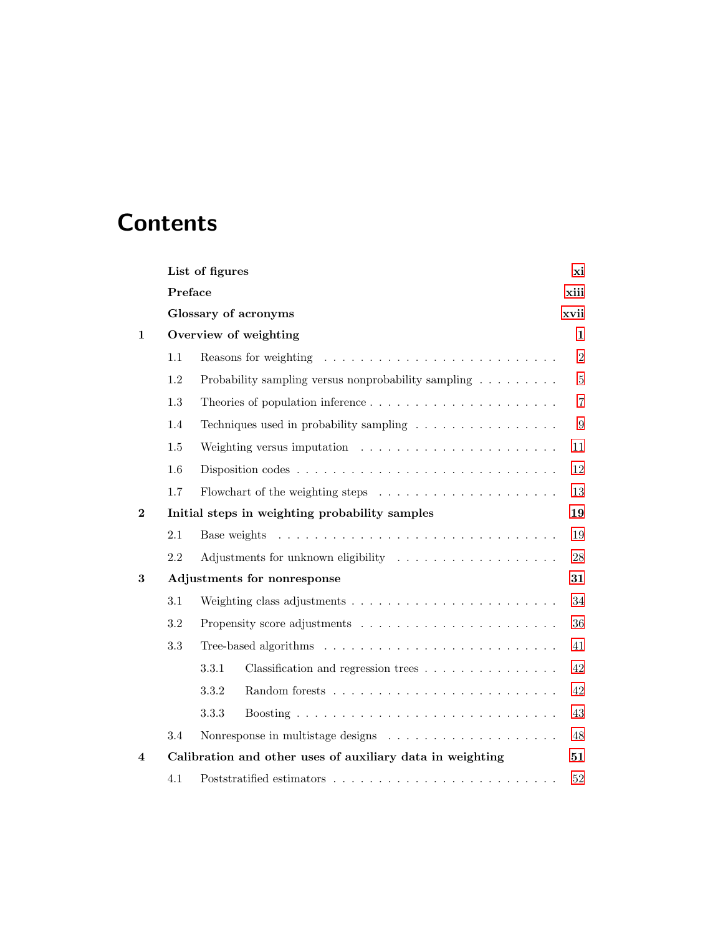# Contents

|              | List of figures |                                                                               |                |  |  |  |  |  |
|--------------|-----------------|-------------------------------------------------------------------------------|----------------|--|--|--|--|--|
|              | Preface         |                                                                               | xiii           |  |  |  |  |  |
|              |                 | Glossary of acronyms                                                          | xvii           |  |  |  |  |  |
| 1            |                 | Overview of weighting                                                         | 1              |  |  |  |  |  |
|              | 1.1             | Reasons for weighting $\ldots \ldots \ldots \ldots \ldots \ldots \ldots$      | $\overline{2}$ |  |  |  |  |  |
|              | 1.2             | Probability sampling versus nonprobability sampling $\ldots \ldots \ldots$    | 5              |  |  |  |  |  |
|              | 1.3             |                                                                               |                |  |  |  |  |  |
|              | 1.4             | Techniques used in probability sampling                                       |                |  |  |  |  |  |
|              | 1.5             | Weighting versus imputation $\dots \dots \dots \dots \dots \dots \dots \dots$ |                |  |  |  |  |  |
|              | 1.6             |                                                                               | 12             |  |  |  |  |  |
|              | 1.7             | Flowchart of the weighting steps $\dots \dots \dots \dots \dots \dots \dots$  | 13             |  |  |  |  |  |
| $\mathbf{2}$ |                 | Initial steps in weighting probability samples                                |                |  |  |  |  |  |
|              | 2.1             |                                                                               | 19             |  |  |  |  |  |
|              | 2.2             |                                                                               | 28             |  |  |  |  |  |
| 3            |                 | Adjustments for nonresponse                                                   | $31\,$         |  |  |  |  |  |
|              | 3.1             |                                                                               | 34             |  |  |  |  |  |
|              | 3.2             |                                                                               | 36             |  |  |  |  |  |
|              | 3.3             |                                                                               | 41             |  |  |  |  |  |
|              |                 | 3.3.1<br>Classification and regression trees                                  | 42             |  |  |  |  |  |
|              |                 | 3.3.2                                                                         | 42             |  |  |  |  |  |
|              |                 | 3.3.3                                                                         | 43             |  |  |  |  |  |
|              | 3.4             | Nonresponse in multistage designs $\dots \dots \dots \dots \dots \dots$       | 48             |  |  |  |  |  |
| 4            |                 | Calibration and other uses of auxiliary data in weighting                     | 51             |  |  |  |  |  |
|              | 4.1             |                                                                               | 52             |  |  |  |  |  |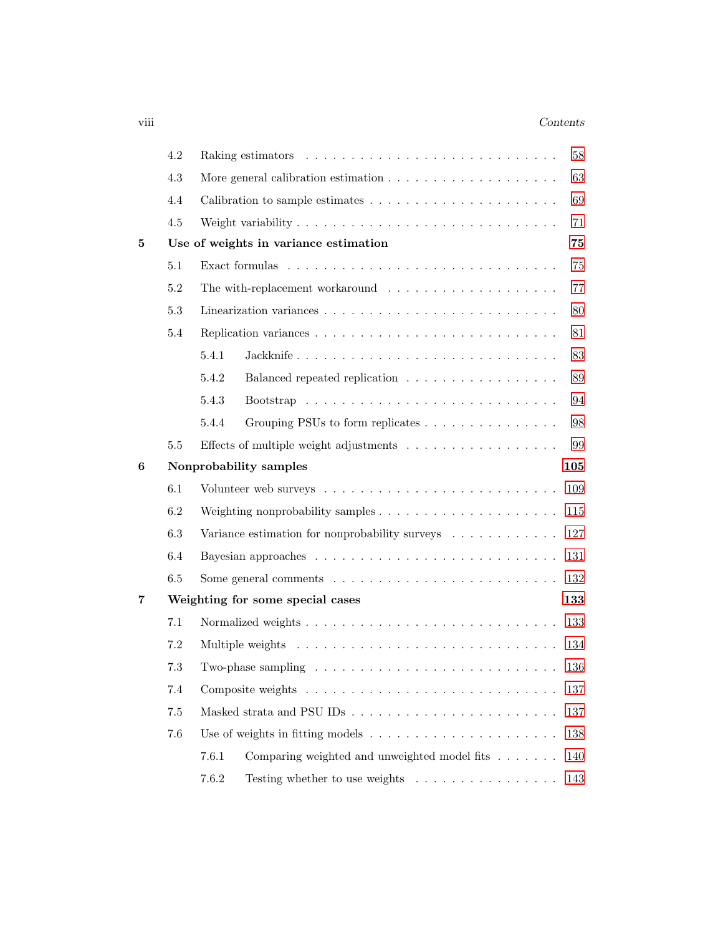### viii Contents

|   | 4.2     | 58                                                                                     |     |  |  |  |  |  |
|---|---------|----------------------------------------------------------------------------------------|-----|--|--|--|--|--|
|   | 4.3     | More general calibration estimation $\ldots \ldots \ldots \ldots \ldots \ldots$        | 63  |  |  |  |  |  |
|   | 4.4     |                                                                                        | 69  |  |  |  |  |  |
|   | 4.5     |                                                                                        | 71  |  |  |  |  |  |
| 5 |         | Use of weights in variance estimation                                                  | 75  |  |  |  |  |  |
|   | $5.1\,$ | Exact formulas $\ldots \ldots \ldots \ldots \ldots \ldots \ldots \ldots \ldots \ldots$ | 75  |  |  |  |  |  |
|   | 5.2     |                                                                                        | 77  |  |  |  |  |  |
|   | 5.3     |                                                                                        | 80  |  |  |  |  |  |
|   | 5.4     |                                                                                        | 81  |  |  |  |  |  |
|   |         | 5.4.1                                                                                  | 83  |  |  |  |  |  |
|   |         | 5.4.2<br>Balanced repeated replication                                                 | 89  |  |  |  |  |  |
|   |         | 5.4.3<br>Bootstrap                                                                     | 94  |  |  |  |  |  |
|   |         | 5.4.4<br>Grouping PSUs to form replicates                                              | 98  |  |  |  |  |  |
|   | 5.5     |                                                                                        | 99  |  |  |  |  |  |
| 6 |         | Nonprobability samples                                                                 | 105 |  |  |  |  |  |
|   | 6.1     |                                                                                        | 109 |  |  |  |  |  |
|   | 6.2     | Weighting nonprobability samples $\ldots \ldots \ldots \ldots \ldots \ldots \ldots$    | 115 |  |  |  |  |  |
|   | 6.3     | Variance estimation for nonprobability surveys $\ldots \ldots \ldots \ldots$           | 127 |  |  |  |  |  |
|   | 6.4     |                                                                                        | 131 |  |  |  |  |  |
|   | 6.5     |                                                                                        | 132 |  |  |  |  |  |
| 7 |         | Weighting for some special cases                                                       | 133 |  |  |  |  |  |
|   | 7.1     |                                                                                        | 133 |  |  |  |  |  |
|   | 7.2     |                                                                                        | 134 |  |  |  |  |  |
|   | 7.3     | Two-phase sampling $\ldots \ldots \ldots \ldots \ldots \ldots \ldots \ldots \ldots$    | 136 |  |  |  |  |  |
|   | 7.4     |                                                                                        | 137 |  |  |  |  |  |
|   | $7.5\,$ |                                                                                        | 137 |  |  |  |  |  |
|   | 7.6     | Use of weights in fitting models $\dots \dots \dots \dots \dots \dots \dots \dots$     | 138 |  |  |  |  |  |
|   |         | 7.6.1<br>Comparing weighted and unweighted model fits                                  | 140 |  |  |  |  |  |
|   |         | 7.6.2<br>Testing whether to use weights                                                | 143 |  |  |  |  |  |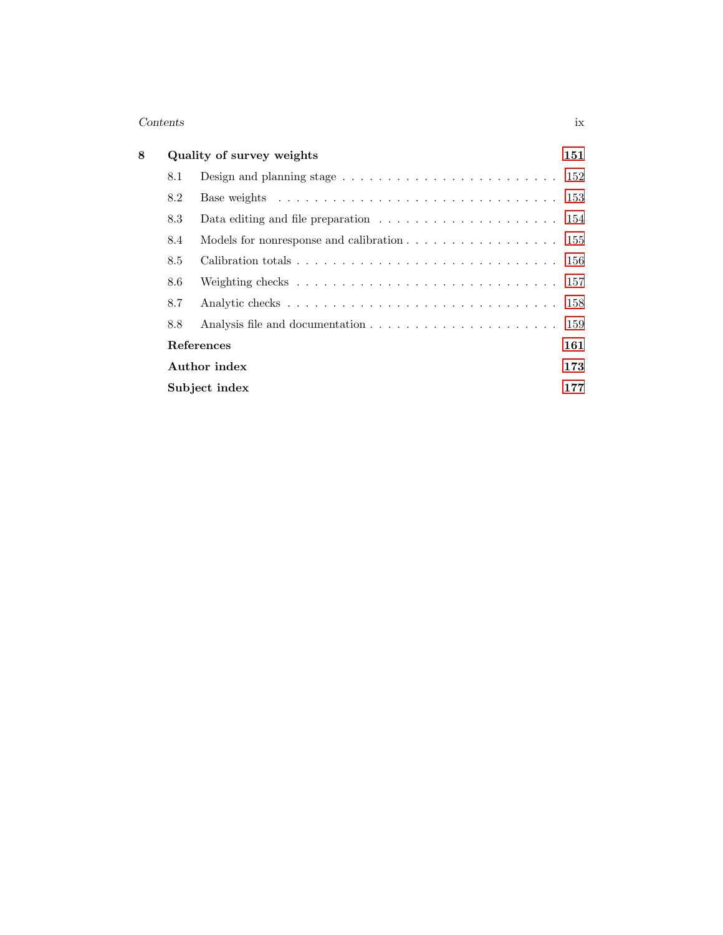### Contents ix

| 8 |     | Quality of survey weights                                                                                                                                                                                                      | 151 |
|---|-----|--------------------------------------------------------------------------------------------------------------------------------------------------------------------------------------------------------------------------------|-----|
|   | 8.1 |                                                                                                                                                                                                                                |     |
|   | 8.2 | Base weights residence in the service of the service of the service of the service of the service of the service of the service of the service of the service of the service of the service of the service of the service of t |     |
|   | 8.3 |                                                                                                                                                                                                                                |     |
|   | 8.4 | Models for nonresponse and calibration 155                                                                                                                                                                                     |     |
|   | 8.5 |                                                                                                                                                                                                                                |     |
|   | 8.6 |                                                                                                                                                                                                                                |     |
|   | 8.7 |                                                                                                                                                                                                                                |     |
|   | 8.8 |                                                                                                                                                                                                                                |     |
|   |     | References                                                                                                                                                                                                                     | 161 |
|   |     | Author index                                                                                                                                                                                                                   | 173 |
|   |     | Subject index                                                                                                                                                                                                                  | 177 |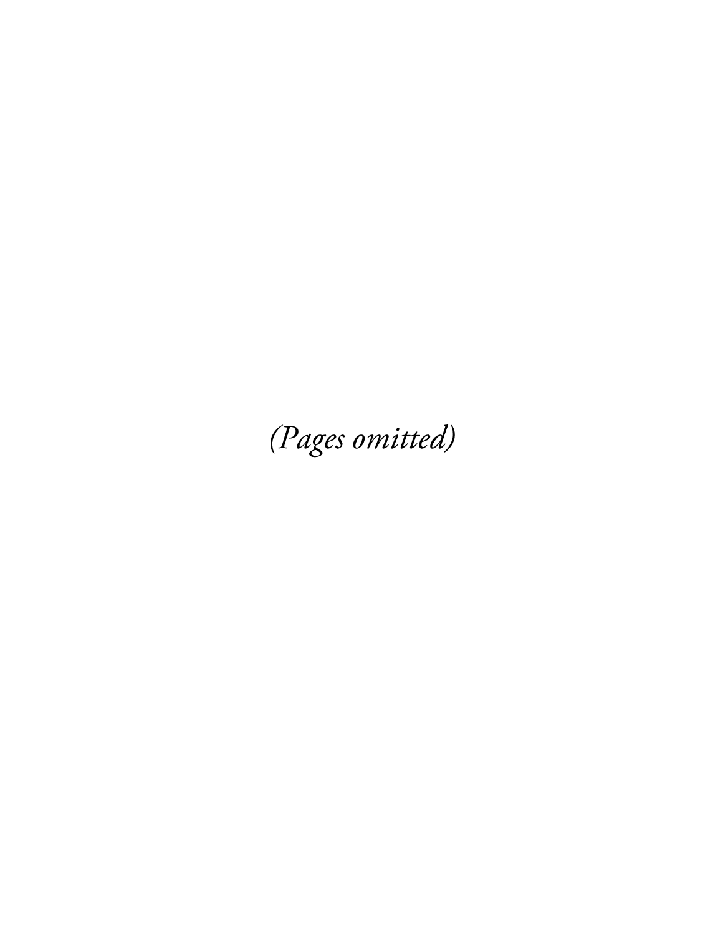(Pages omitted)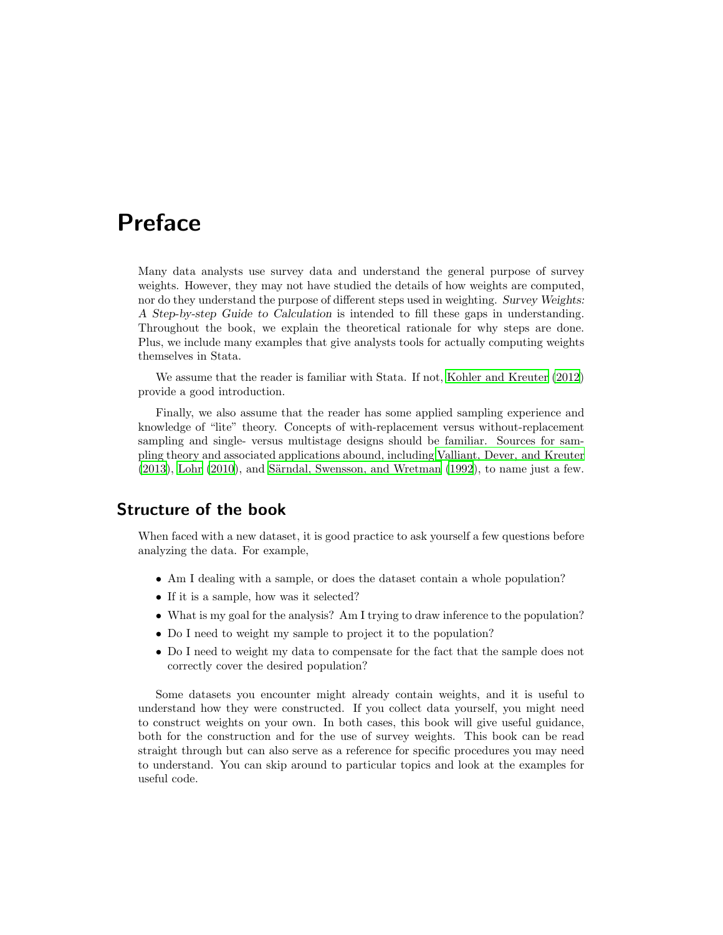## Preface

Many data analysts use survey data and understand the general purpose of survey weights. However, they may not have studied the details of how weights are computed, nor do they understand the purpose of different steps used in weighting. Survey Weights: A Step-by-step Guide to Calculation is intended to fill these gaps in understanding. Throughout the book, we explain the theoretical rationale for why steps are done. Plus, we include many examples that give analysts tools for actually computing weights themselves in Stata.

We assume that the reader is familiar with Stata. If not, Kohler and Kreuter (2012) provide a good introduction.

Finally, we also assume that the reader has some applied sampling experience and knowledge of "lite" theory. Concepts of with-replacement versus without-replacement sampling and single- versus multistage designs should be familiar. Sources for sampling theory and associated applications abound, including Valliant, Dever, and Kreuter  $(2013)$ , Lohr  $(2010)$ , and Särndal, Swensson, and Wretman  $(1992)$ , to name just a few.

## Structure of the book

When faced with a new dataset, it is good practice to ask yourself a few questions before analyzing the data. For example,

- Am I dealing with a sample, or does the dataset contain a whole population?
- If it is a sample, how was it selected?
- What is my goal for the analysis? Am I trying to draw inference to the population?
- Do I need to weight my sample to project it to the population?
- Do I need to weight my data to compensate for the fact that the sample does not correctly cover the desired population?

Some datasets you encounter might already contain weights, and it is useful to understand how they were constructed. If you collect data yourself, you might need to construct weights on your own. In both cases, this book will give useful guidance, both for the construction and for the use of survey weights. This book can be read straight through but can also serve as a reference for specific procedures you may need to understand. You can skip around to particular topics and look at the examples for useful code.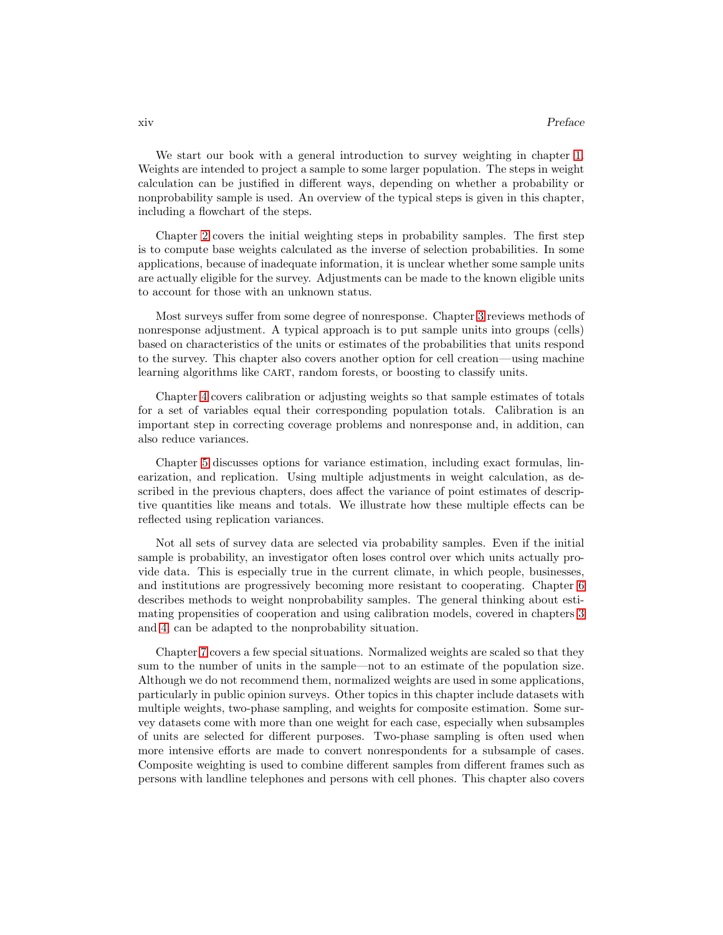We start our book with a general introduction to survey weighting in chapter 1. Weights are intended to project a sample to some larger population. The steps in weight calculation can be justified in different ways, depending on whether a probability or nonprobability sample is used. An overview of the typical steps is given in this chapter, including a flowchart of the steps.

Chapter 2 covers the initial weighting steps in probability samples. The first step is to compute base weights calculated as the inverse of selection probabilities. In some applications, because of inadequate information, it is unclear whether some sample units are actually eligible for the survey. Adjustments can be made to the known eligible units to account for those with an unknown status.

Most surveys suffer from some degree of nonresponse. Chapter 3 reviews methods of nonresponse adjustment. A typical approach is to put sample units into groups (cells) based on characteristics of the units or estimates of the probabilities that units respond to the survey. This chapter also covers another option for cell creation—using machine learning algorithms like CART, random forests, or boosting to classify units.

Chapter 4 covers calibration or adjusting weights so that sample estimates of totals for a set of variables equal their corresponding population totals. Calibration is an important step in correcting coverage problems and nonresponse and, in addition, can also reduce variances.

Chapter 5 discusses options for variance estimation, including exact formulas, linearization, and replication. Using multiple adjustments in weight calculation, as described in the previous chapters, does affect the variance of point estimates of descriptive quantities like means and totals. We illustrate how these multiple effects can be reflected using replication variances.

Not all sets of survey data are selected via probability samples. Even if the initial sample is probability, an investigator often loses control over which units actually provide data. This is especially true in the current climate, in which people, businesses, and institutions are progressively becoming more resistant to cooperating. Chapter 6 describes methods to weight nonprobability samples. The general thinking about estimating propensities of cooperation and using calibration models, covered in chapters 3 and 4, can be adapted to the nonprobability situation.

Chapter 7 covers a few special situations. Normalized weights are scaled so that they sum to the number of units in the sample—not to an estimate of the population size. Although we do not recommend them, normalized weights are used in some applications, particularly in public opinion surveys. Other topics in this chapter include datasets with multiple weights, two-phase sampling, and weights for composite estimation. Some survey datasets come with more than one weight for each case, especially when subsamples of units are selected for different purposes. Two-phase sampling is often used when more intensive efforts are made to convert nonrespondents for a subsample of cases. Composite weighting is used to combine different samples from different frames such as persons with landline telephones and persons with cell phones. This chapter also covers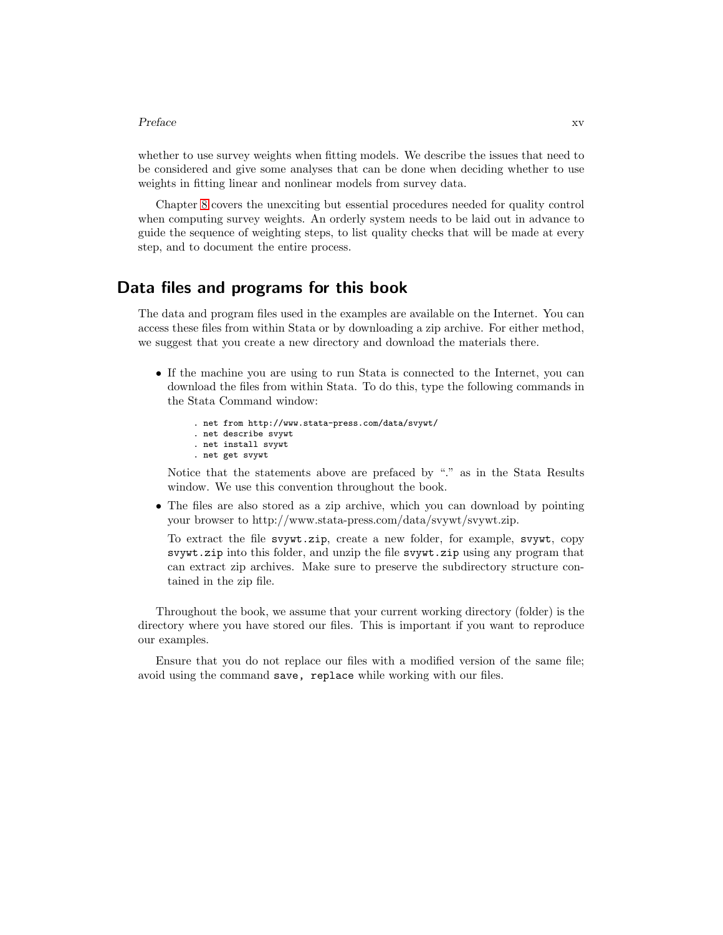#### Preface xv

whether to use survey weights when fitting models. We describe the issues that need to be considered and give some analyses that can be done when deciding whether to use weights in fitting linear and nonlinear models from survey data.

Chapter 8 covers the unexciting but essential procedures needed for quality control when computing survey weights. An orderly system needs to be laid out in advance to guide the sequence of weighting steps, to list quality checks that will be made at every step, and to document the entire process.

## Data files and programs for this book

The data and program files used in the examples are available on the Internet. You can access these files from within Stata or by downloading a zip archive. For either method, we suggest that you create a new directory and download the materials there.

- If the machine you are using to run Stata is connected to the Internet, you can download the files from within Stata. To do this, type the following commands in the Stata Command window:
	- . net from http://www.stata-press.com/data/svywt/ . net describe svywt . net install svywt
	- . net get svywt

Notice that the statements above are prefaced by "." as in the Stata Results window. We use this convention throughout the book.

• The files are also stored as a zip archive, which you can download by pointing your browser to http://www.stata-press.com/data/svywt/svywt.zip.

To extract the file svywt.zip, create a new folder, for example, svywt, copy svywt.zip into this folder, and unzip the file svywt.zip using any program that can extract zip archives. Make sure to preserve the subdirectory structure contained in the zip file.

Throughout the book, we assume that your current working directory (folder) is the directory where you have stored our files. This is important if you want to reproduce our examples.

Ensure that you do not replace our files with a modified version of the same file; avoid using the command save, replace while working with our files.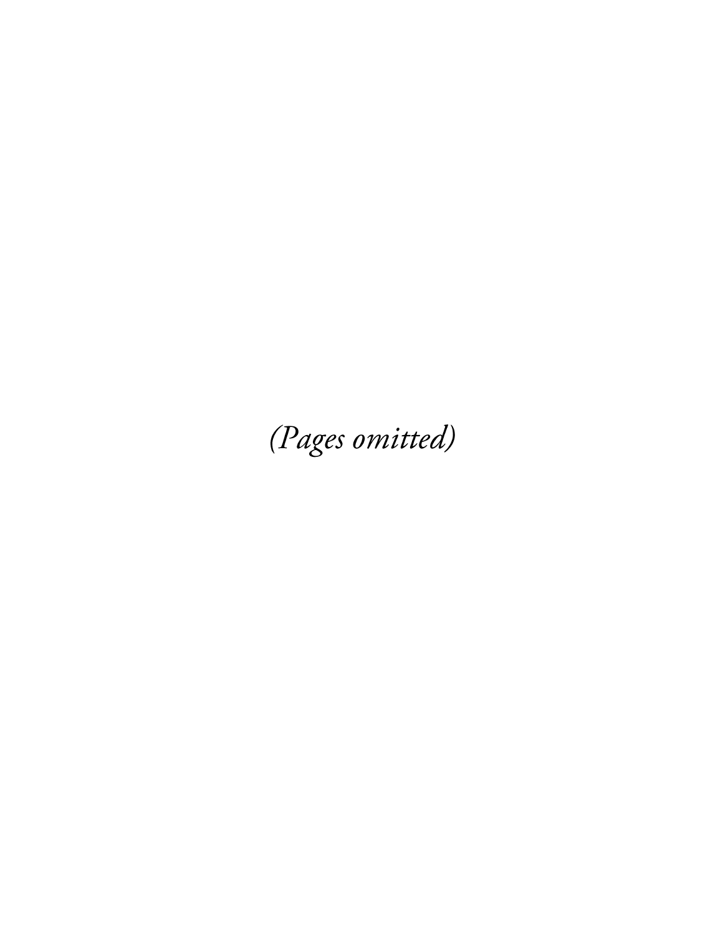(Pages omitted)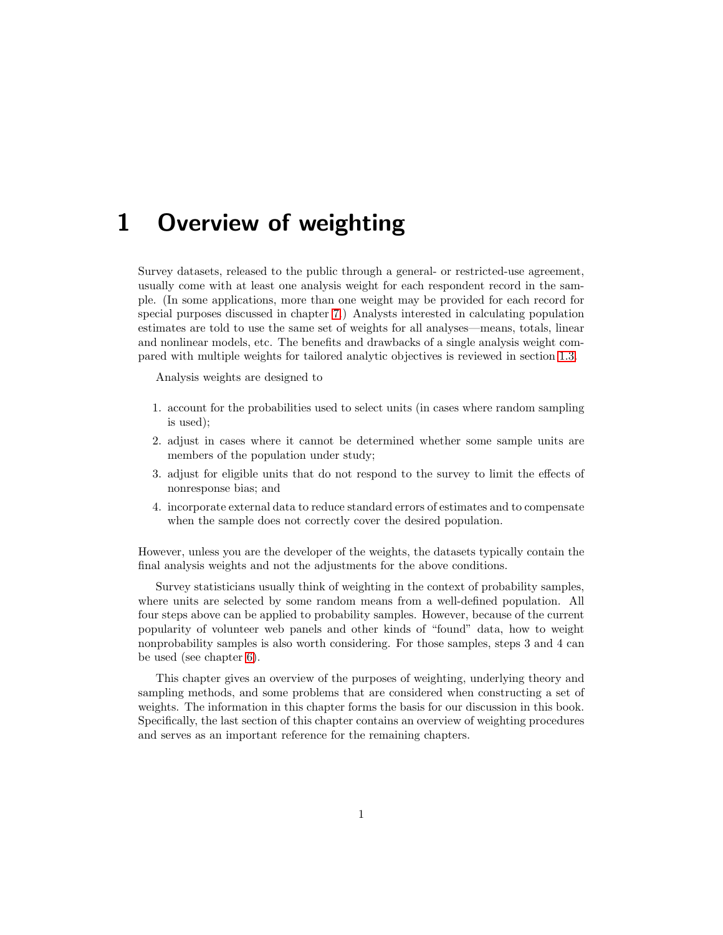## 1 Overview of weighting

Survey datasets, released to the public through a general- or restricted-use agreement, usually come with at least one analysis weight for each respondent record in the sample. (In some applications, more than one weight may be provided for each record for special purposes discussed in chapter 7.) Analysts interested in calculating population estimates are told to use the same set of weights for all analyses—means, totals, linear and nonlinear models, etc. The benefits and drawbacks of a single analysis weight compared with multiple weights for tailored analytic objectives is reviewed in section 1.3.

Analysis weights are designed to

- 1. account for the probabilities used to select units (in cases where random sampling is used);
- 2. adjust in cases where it cannot be determined whether some sample units are members of the population under study;
- 3. adjust for eligible units that do not respond to the survey to limit the effects of nonresponse bias; and
- 4. incorporate external data to reduce standard errors of estimates and to compensate when the sample does not correctly cover the desired population.

However, unless you are the developer of the weights, the datasets typically contain the final analysis weights and not the adjustments for the above conditions.

Survey statisticians usually think of weighting in the context of probability samples, where units are selected by some random means from a well-defined population. All four steps above can be applied to probability samples. However, because of the current popularity of volunteer web panels and other kinds of "found" data, how to weight nonprobability samples is also worth considering. For those samples, steps 3 and 4 can be used (see chapter 6).

This chapter gives an overview of the purposes of weighting, underlying theory and sampling methods, and some problems that are considered when constructing a set of weights. The information in this chapter forms the basis for our discussion in this book. Specifically, the last section of this chapter contains an overview of weighting procedures and serves as an important reference for the remaining chapters.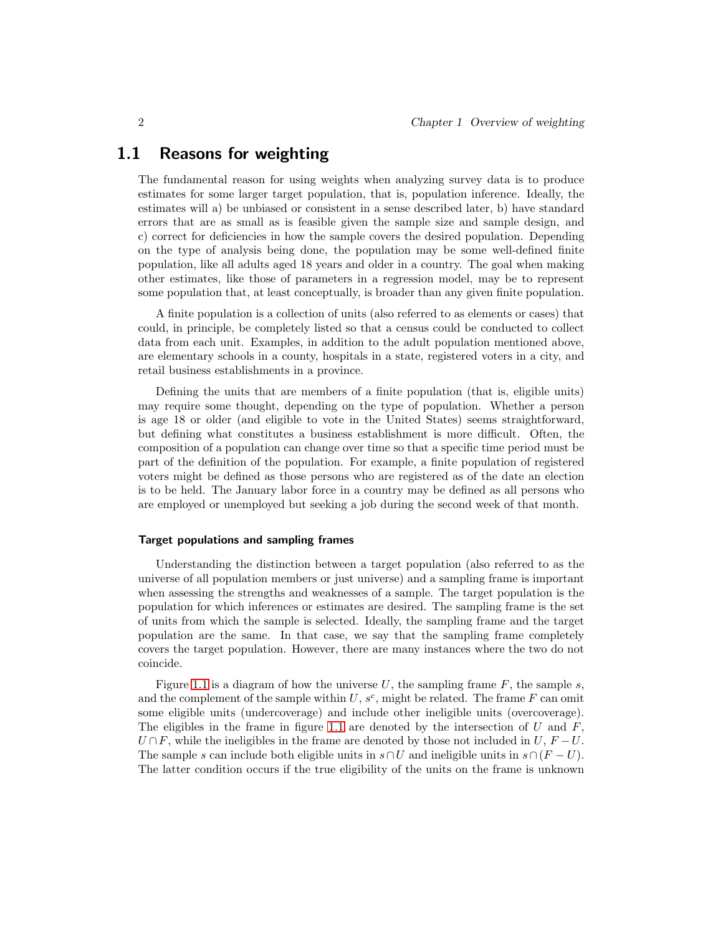## 1.1 Reasons for weighting

The fundamental reason for using weights when analyzing survey data is to produce estimates for some larger target population, that is, population inference. Ideally, the estimates will a) be unbiased or consistent in a sense described later, b) have standard errors that are as small as is feasible given the sample size and sample design, and c) correct for deficiencies in how the sample covers the desired population. Depending on the type of analysis being done, the population may be some well-defined finite population, like all adults aged 18 years and older in a country. The goal when making other estimates, like those of parameters in a regression model, may be to represent some population that, at least conceptually, is broader than any given finite population.

A finite population is a collection of units (also referred to as elements or cases) that could, in principle, be completely listed so that a census could be conducted to collect data from each unit. Examples, in addition to the adult population mentioned above, are elementary schools in a county, hospitals in a state, registered voters in a city, and retail business establishments in a province.

Defining the units that are members of a finite population (that is, eligible units) may require some thought, depending on the type of population. Whether a person is age 18 or older (and eligible to vote in the United States) seems straightforward, but defining what constitutes a business establishment is more difficult. Often, the composition of a population can change over time so that a specific time period must be part of the definition of the population. For example, a finite population of registered voters might be defined as those persons who are registered as of the date an election is to be held. The January labor force in a country may be defined as all persons who are employed or unemployed but seeking a job during the second week of that month.

#### Target populations and sampling frames

Understanding the distinction between a target population (also referred to as the universe of all population members or just universe) and a sampling frame is important when assessing the strengths and weaknesses of a sample. The target population is the population for which inferences or estimates are desired. The sampling frame is the set of units from which the sample is selected. Ideally, the sampling frame and the target population are the same. In that case, we say that the sampling frame completely covers the target population. However, there are many instances where the two do not coincide.

Figure 1.1 is a diagram of how the universe U, the sampling frame F, the sample s, and the complement of the sample within  $U, s^c$ , might be related. The frame  $F$  can omit some eligible units (undercoverage) and include other ineligible units (overcoverage). The eligibles in the frame in figure 1.1 are denoted by the intersection of  $U$  and  $F$ ,  $U \cap F$ , while the ineligibles in the frame are denoted by those not included in  $U, F-U$ . The sample s can include both eligible units in s∩U and ineligible units in  $s \cap (F - U)$ . The latter condition occurs if the true eligibility of the units on the frame is unknown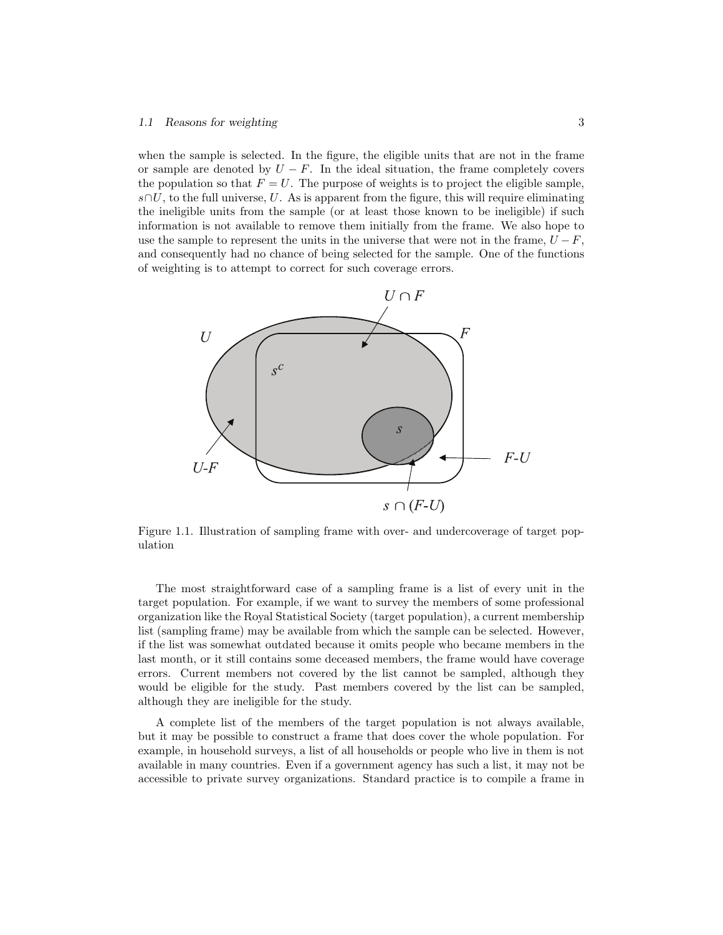#### 1.1 Reasons for weighting 3

when the sample is selected. In the figure, the eligible units that are not in the frame or sample are denoted by  $U - F$ . In the ideal situation, the frame completely covers the population so that  $F = U$ . The purpose of weights is to project the eligible sample,  $s \cap U$ , to the full universe, U. As is apparent from the figure, this will require eliminating the ineligible units from the sample (or at least those known to be ineligible) if such information is not available to remove them initially from the frame. We also hope to use the sample to represent the units in the universe that were not in the frame,  $U - F$ , and consequently had no chance of being selected for the sample. One of the functions of weighting is to attempt to correct for such coverage errors.



Figure 1.1. Illustration of sampling frame with over- and undercoverage of target population

The most straightforward case of a sampling frame is a list of every unit in the target population. For example, if we want to survey the members of some professional organization like the Royal Statistical Society (target population), a current membership list (sampling frame) may be available from which the sample can be selected. However, if the list was somewhat outdated because it omits people who became members in the last month, or it still contains some deceased members, the frame would have coverage errors. Current members not covered by the list cannot be sampled, although they would be eligible for the study. Past members covered by the list can be sampled, although they are ineligible for the study.

A complete list of the members of the target population is not always available, but it may be possible to construct a frame that does cover the whole population. For example, in household surveys, a list of all households or people who live in them is not available in many countries. Even if a government agency has such a list, it may not be accessible to private survey organizations. Standard practice is to compile a frame in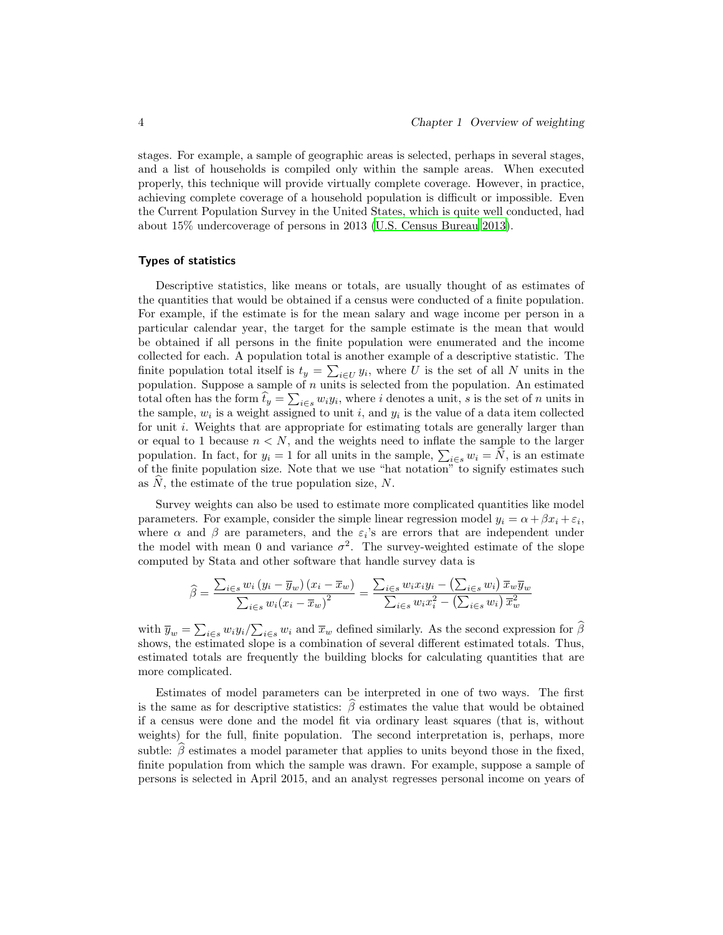stages. For example, a sample of geographic areas is selected, perhaps in several stages, and a list of households is compiled only within the sample areas. When executed properly, this technique will provide virtually complete coverage. However, in practice, achieving complete coverage of a household population is difficult or impossible. Even the Current Population Survey in the United States, which is quite well conducted, had about 15% undercoverage of persons in 2013 (U.S. Census Bureau 2013).

#### Types of statistics

Descriptive statistics, like means or totals, are usually thought of as estimates of the quantities that would be obtained if a census were conducted of a finite population. For example, if the estimate is for the mean salary and wage income per person in a particular calendar year, the target for the sample estimate is the mean that would be obtained if all persons in the finite population were enumerated and the income collected for each. A population total is another example of a descriptive statistic. The finite population total itself is  $t_y = \sum_{i \in U} y_i$ , where U is the set of all N units in the population. Suppose a sample of  $n$  units is selected from the population. An estimated total often has the form  $\hat{t}_y = \sum_{i \in s} w_i y_i$ , where i denotes a unit, s is the set of n units in the sample,  $w_i$  is a weight assigned to unit i, and  $y_i$  is the value of a data item collected for unit i. Weights that are appropriate for estimating totals are generally larger than or equal to 1 because  $n < N$ , and the weights need to inflate the sample to the larger population. In fact, for  $y_i = 1$  for all units in the sample,  $\sum_{i \in s} w_i = \widehat{N}$ , is an estimate of the finite population size. Note that we use "hat notation" to signify estimates such as  $\ddot{N}$ , the estimate of the true population size,  $N$ .

Survey weights can also be used to estimate more complicated quantities like model parameters. For example, consider the simple linear regression model  $y_i = \alpha + \beta x_i + \varepsilon_i$ , where  $\alpha$  and  $\beta$  are parameters, and the  $\varepsilon_i$ 's are errors that are independent under the model with mean 0 and variance  $\sigma^2$ . The survey-weighted estimate of the slope computed by Stata and other software that handle survey data is

$$
\widehat{\beta} = \frac{\sum_{i \in s} w_i (y_i - \overline{y}_w) (x_i - \overline{x}_w)}{\sum_{i \in s} w_i (x_i - \overline{x}_w)^2} = \frac{\sum_{i \in s} w_i x_i y_i - (\sum_{i \in s} w_i) \overline{x}_w \overline{y}_w}{\sum_{i \in s} w_i x_i^2 - (\sum_{i \in s} w_i) \overline{x}_w^2}
$$

with  $\overline{y}_w = \sum_{i \in s} w_i y_i / \sum_{i \in s} w_i$  and  $\overline{x}_w$  defined similarly. As the second expression for  $\widehat{\beta}$ shows, the estimated slope is a combination of several different estimated totals. Thus, estimated totals are frequently the building blocks for calculating quantities that are more complicated.

Estimates of model parameters can be interpreted in one of two ways. The first is the same as for descriptive statistics:  $\beta$  estimates the value that would be obtained if a census were done and the model fit via ordinary least squares (that is, without weights) for the full, finite population. The second interpretation is, perhaps, more subtle:  $\hat{\beta}$  estimates a model parameter that applies to units beyond those in the fixed, finite population from which the sample was drawn. For example, suppose a sample of persons is selected in April 2015, and an analyst regresses personal income on years of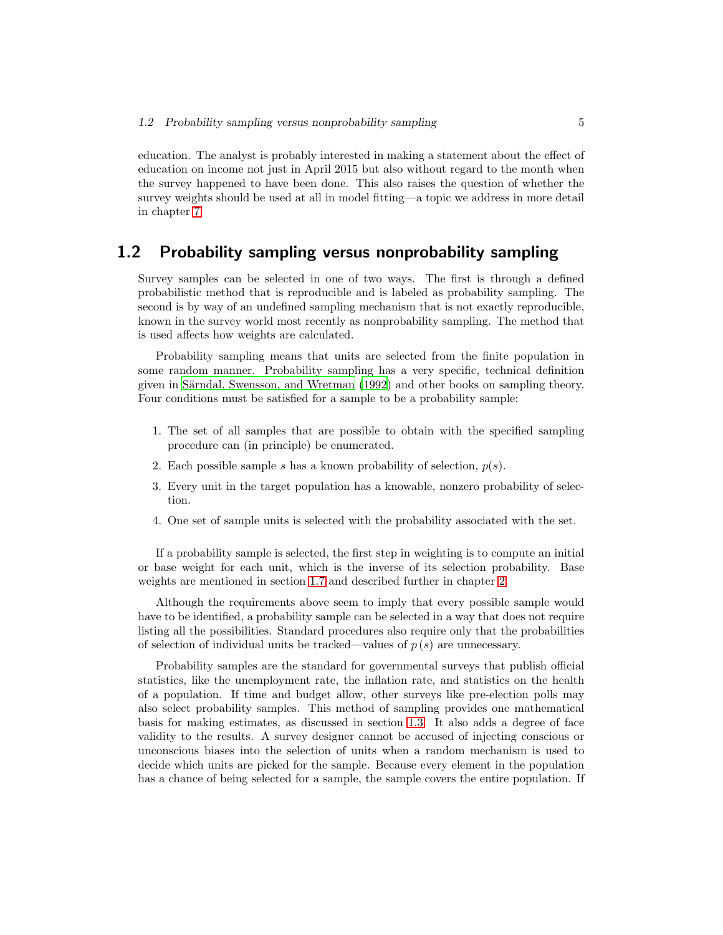education. The analyst is probably interested in making a statement about the effect of education on income not just in April 2015 but also without regard to the month when the survey happened to have been done. This also raises the question of whether the survey weights should be used at all in model fitting—a topic we address in more detail in chapter 7.

## 1.2 Probability sampling versus nonprobability sampling

Survey samples can be selected in one of two ways. The first is through a defined probabilistic method that is reproducible and is labeled as probability sampling. The second is by way of an undefined sampling mechanism that is not exactly reproducible, known in the survey world most recently as nonprobability sampling. The method that is used affects how weights are calculated.

Probability sampling means that units are selected from the finite population in some random manner. Probability sampling has a very specific, technical definition given in Särndal, Swensson, and Wretman (1992) and other books on sampling theory. Four conditions must be satisfied for a sample to be a probability sample:

- 1. The set of all samples that are possible to obtain with the specified sampling procedure can (in principle) be enumerated.
- 2. Each possible sample s has a known probability of selection,  $p(s)$ .
- 3. Every unit in the target population has a knowable, nonzero probability of selection.
- 4. One set of sample units is selected with the probability associated with the set.

If a probability sample is selected, the first step in weighting is to compute an initial or base weight for each unit, which is the inverse of its selection probability. Base weights are mentioned in section 1.7 and described further in chapter 2.

Although the requirements above seem to imply that every possible sample would have to be identified, a probability sample can be selected in a way that does not require listing all the possibilities. Standard procedures also require only that the probabilities of selection of individual units be tracked—values of  $p(s)$  are unnecessary.

Probability samples are the standard for governmental surveys that publish official statistics, like the unemployment rate, the inflation rate, and statistics on the health of a population. If time and budget allow, other surveys like pre-election polls may also select probability samples. This method of sampling provides one mathematical basis for making estimates, as discussed in section 1.3. It also adds a degree of face validity to the results. A survey designer cannot be accused of injecting conscious or unconscious biases into the selection of units when a random mechanism is used to decide which units are picked for the sample. Because every element in the population has a chance of being selected for a sample, the sample covers the entire population. If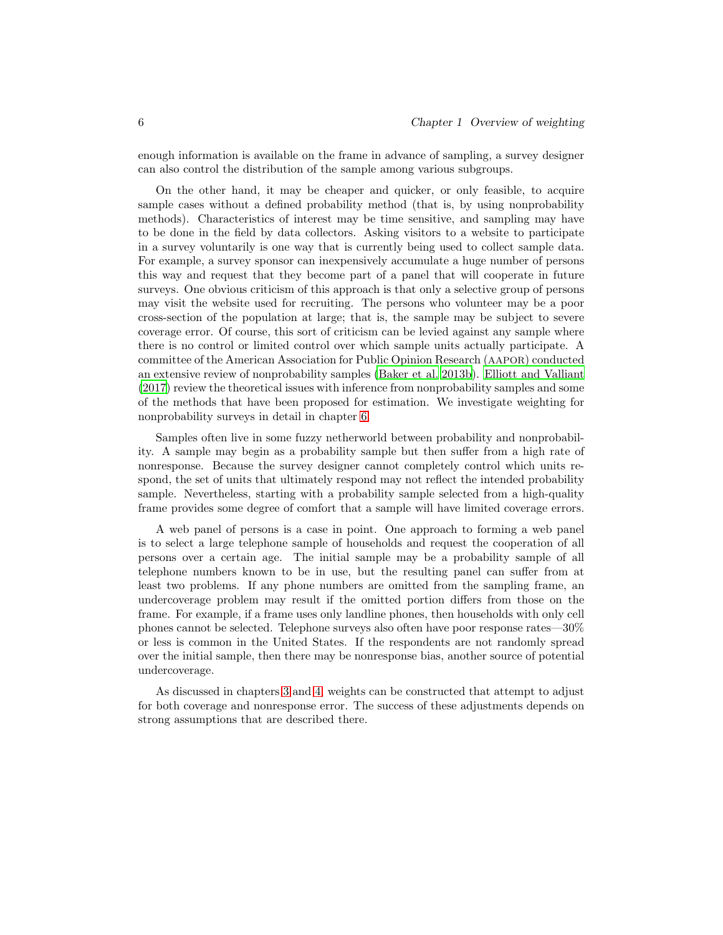enough information is available on the frame in advance of sampling, a survey designer can also control the distribution of the sample among various subgroups.

On the other hand, it may be cheaper and quicker, or only feasible, to acquire sample cases without a defined probability method (that is, by using nonprobability methods). Characteristics of interest may be time sensitive, and sampling may have to be done in the field by data collectors. Asking visitors to a website to participate in a survey voluntarily is one way that is currently being used to collect sample data. For example, a survey sponsor can inexpensively accumulate a huge number of persons this way and request that they become part of a panel that will cooperate in future surveys. One obvious criticism of this approach is that only a selective group of persons may visit the website used for recruiting. The persons who volunteer may be a poor cross-section of the population at large; that is, the sample may be subject to severe coverage error. Of course, this sort of criticism can be levied against any sample where there is no control or limited control over which sample units actually participate. A committee of the American Association for Public Opinion Research (AAPOR) conducted an extensive review of nonprobability samples (Baker et al. 2013b). Elliott and Valliant (2017) review the theoretical issues with inference from nonprobability samples and some of the methods that have been proposed for estimation. We investigate weighting for nonprobability surveys in detail in chapter 6.

Samples often live in some fuzzy netherworld between probability and nonprobability. A sample may begin as a probability sample but then suffer from a high rate of nonresponse. Because the survey designer cannot completely control which units respond, the set of units that ultimately respond may not reflect the intended probability sample. Nevertheless, starting with a probability sample selected from a high-quality frame provides some degree of comfort that a sample will have limited coverage errors.

A web panel of persons is a case in point. One approach to forming a web panel is to select a large telephone sample of households and request the cooperation of all persons over a certain age. The initial sample may be a probability sample of all telephone numbers known to be in use, but the resulting panel can suffer from at least two problems. If any phone numbers are omitted from the sampling frame, an undercoverage problem may result if the omitted portion differs from those on the frame. For example, if a frame uses only landline phones, then households with only cell phones cannot be selected. Telephone surveys also often have poor response rates—30% or less is common in the United States. If the respondents are not randomly spread over the initial sample, then there may be nonresponse bias, another source of potential undercoverage.

As discussed in chapters 3 and 4, weights can be constructed that attempt to adjust for both coverage and nonresponse error. The success of these adjustments depends on strong assumptions that are described there.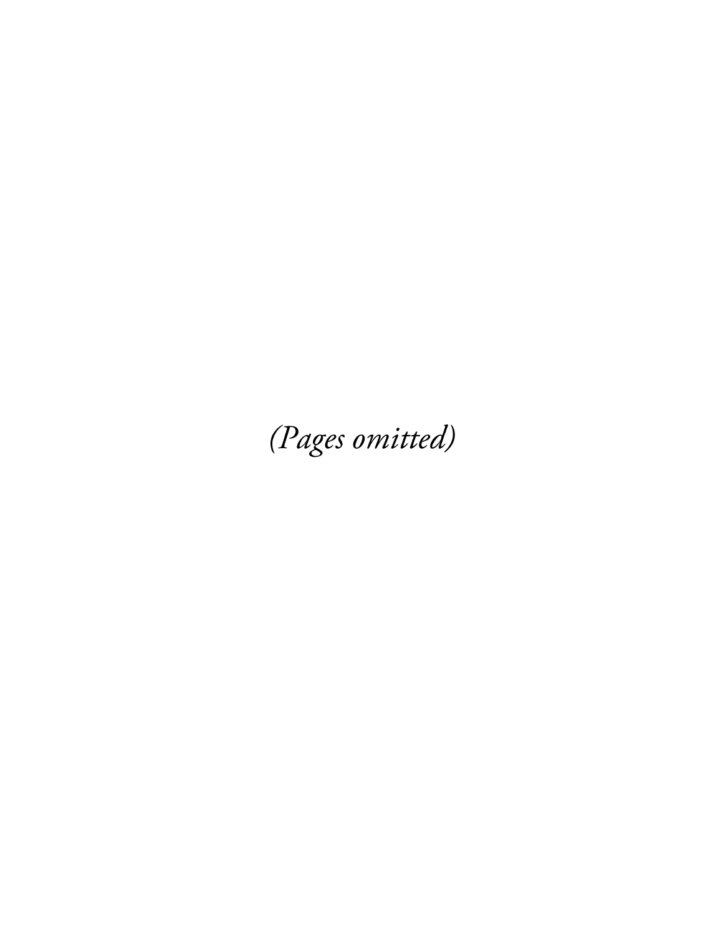(Pages omitted)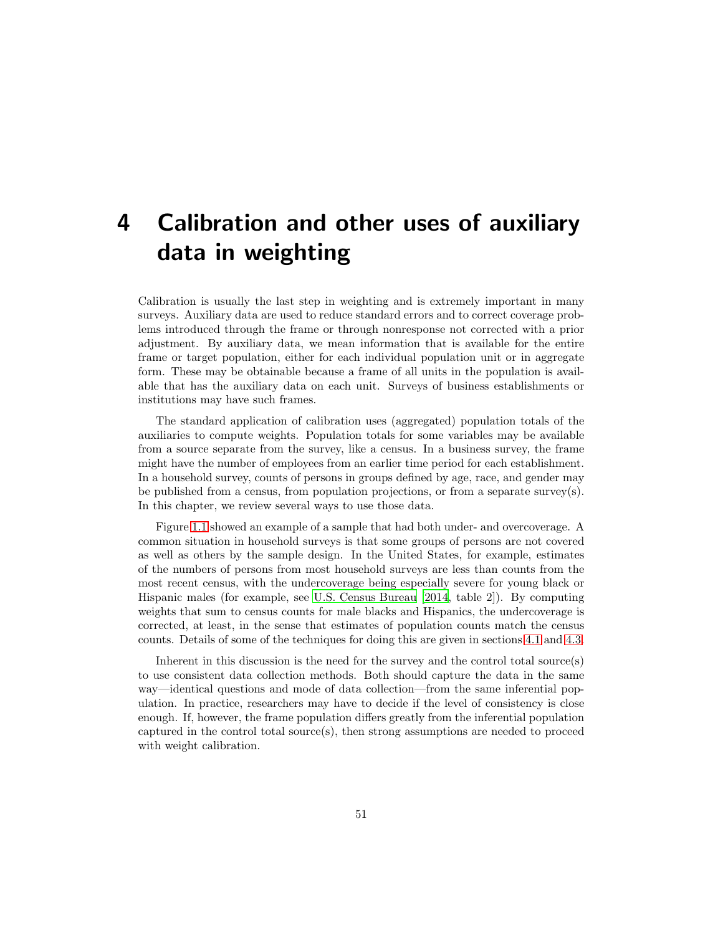# 4 Calibration and other uses of auxiliary data in weighting

Calibration is usually the last step in weighting and is extremely important in many surveys. Auxiliary data are used to reduce standard errors and to correct coverage problems introduced through the frame or through nonresponse not corrected with a prior adjustment. By auxiliary data, we mean information that is available for the entire frame or target population, either for each individual population unit or in aggregate form. These may be obtainable because a frame of all units in the population is available that has the auxiliary data on each unit. Surveys of business establishments or institutions may have such frames.

The standard application of calibration uses (aggregated) population totals of the auxiliaries to compute weights. Population totals for some variables may be available from a source separate from the survey, like a census. In a business survey, the frame might have the number of employees from an earlier time period for each establishment. In a household survey, counts of persons in groups defined by age, race, and gender may be published from a census, from population projections, or from a separate survey(s). In this chapter, we review several ways to use those data.

Figure 1.1 showed an example of a sample that had both under- and overcoverage. A common situation in household surveys is that some groups of persons are not covered as well as others by the sample design. In the United States, for example, estimates of the numbers of persons from most household surveys are less than counts from the most recent census, with the undercoverage being especially severe for young black or Hispanic males (for example, see U.S. Census Bureau [2014, table 2]). By computing weights that sum to census counts for male blacks and Hispanics, the undercoverage is corrected, at least, in the sense that estimates of population counts match the census counts. Details of some of the techniques for doing this are given in sections 4.1 and 4.3.

Inherent in this discussion is the need for the survey and the control total source(s) to use consistent data collection methods. Both should capture the data in the same way—identical questions and mode of data collection—from the same inferential population. In practice, researchers may have to decide if the level of consistency is close enough. If, however, the frame population differs greatly from the inferential population captured in the control total source $(s)$ , then strong assumptions are needed to proceed with weight calibration.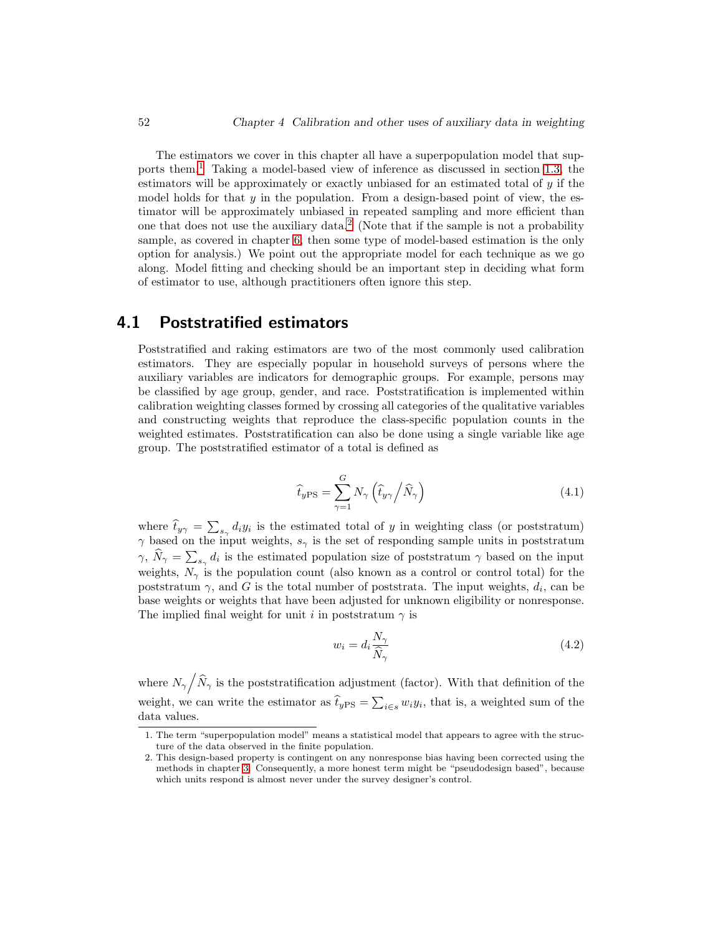The estimators we cover in this chapter all have a superpopulation model that supports them.<sup>1</sup> Taking a model-based view of inference as discussed in section 1.3, the estimators will be approximately or exactly unbiased for an estimated total of  $\gamma$  if the model holds for that  $y$  in the population. From a design-based point of view, the estimator will be approximately unbiased in repeated sampling and more efficient than one that does not use the auxiliary data.<sup>2</sup> (Note that if the sample is not a probability sample, as covered in chapter 6, then some type of model-based estimation is the only option for analysis.) We point out the appropriate model for each technique as we go along. Model fitting and checking should be an important step in deciding what form of estimator to use, although practitioners often ignore this step.

## 4.1 Poststratified estimators

Poststratified and raking estimators are two of the most commonly used calibration estimators. They are especially popular in household surveys of persons where the auxiliary variables are indicators for demographic groups. For example, persons may be classified by age group, gender, and race. Poststratification is implemented within calibration weighting classes formed by crossing all categories of the qualitative variables and constructing weights that reproduce the class-specific population counts in the weighted estimates. Poststratification can also be done using a single variable like age group. The poststratified estimator of a total is defined as

$$
\hat{t}_{y\text{PS}} = \sum_{\gamma=1}^{G} N_{\gamma} \left( \hat{t}_{y\gamma} / \hat{N}_{\gamma} \right)
$$
\n(4.1)

where  $\hat{t}_{y\gamma} = \sum_{s_{\gamma}} d_i y_i$  is the estimated total of y in weighting class (or poststratum)  $\gamma$  based on the input weights,  $s_{\gamma}$  is the set of responding sample units in poststratum  $\gamma, \hat{N}_{\gamma} = \sum_{s_{\gamma}} d_i$  is the estimated population size of poststratum  $\gamma$  based on the input weights,  $N_{\gamma}$  is the population count (also known as a control or control total) for the poststratum  $\gamma$ , and G is the total number of poststrata. The input weights,  $d_i$ , can be base weights or weights that have been adjusted for unknown eligibility or nonresponse. The implied final weight for unit i in poststratum  $\gamma$  is

$$
w_i = d_i \frac{N_\gamma}{\hat{N}_\gamma} \tag{4.2}
$$

where  $N_{\gamma} / \widehat{N}_{\gamma}$  is the poststratification adjustment (factor). With that definition of the weight, we can write the estimator as  $\hat{t}_{yPS} = \sum_{i \in s} w_i y_i$ , that is, a weighted sum of the data values.

<sup>1.</sup> The term "superpopulation model" means a statistical model that appears to agree with the structure of the data observed in the finite population.

<sup>2.</sup> This design-based property is contingent on any nonresponse bias having been corrected using the methods in chapter 3. Consequently, a more honest term might be "pseudodesign based", because which units respond is almost never under the survey designer's control.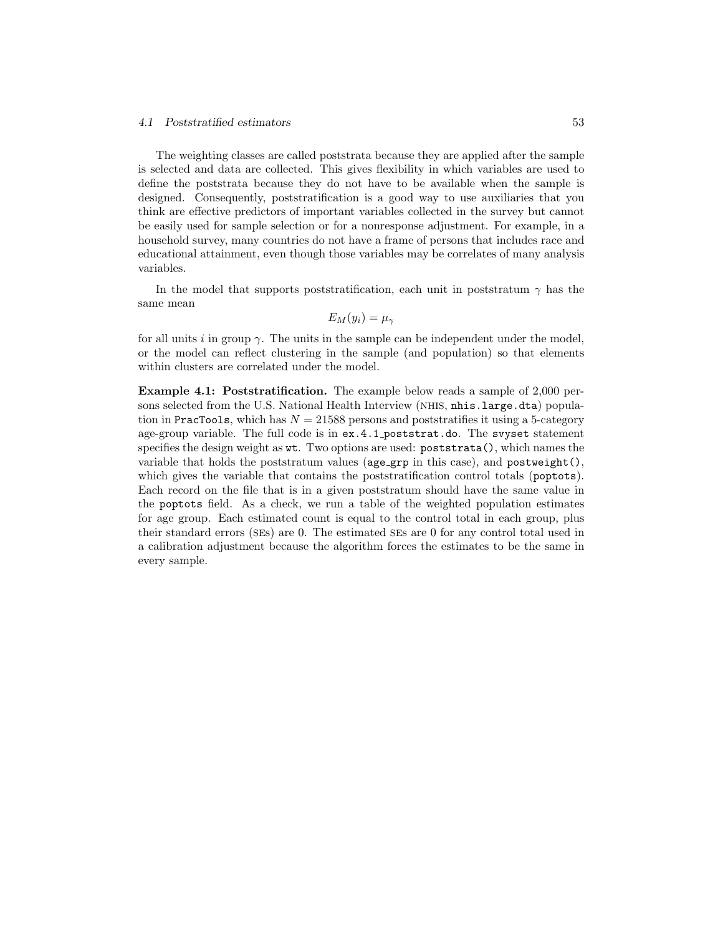#### 4.1 Poststratified estimators 53

The weighting classes are called poststrata because they are applied after the sample is selected and data are collected. This gives flexibility in which variables are used to define the poststrata because they do not have to be available when the sample is designed. Consequently, poststratification is a good way to use auxiliaries that you think are effective predictors of important variables collected in the survey but cannot be easily used for sample selection or for a nonresponse adjustment. For example, in a household survey, many countries do not have a frame of persons that includes race and educational attainment, even though those variables may be correlates of many analysis variables.

In the model that supports poststratification, each unit in poststratum  $\gamma$  has the same mean

$$
E_M(y_i) = \mu_\gamma
$$

for all units i in group  $\gamma$ . The units in the sample can be independent under the model, or the model can reflect clustering in the sample (and population) so that elements within clusters are correlated under the model.

Example 4.1: Poststratification. The example below reads a sample of 2,000 persons selected from the U.S. National Health Interview (NHIS, nhis.large.dta) population in PracTools, which has  $N = 21588$  persons and poststratifies it using a 5-category age-group variable. The full code is in ex.4.1 poststrat.do. The svyset statement specifies the design weight as wt. Two options are used: poststrata(), which names the variable that holds the poststratum values (age grp in this case), and postweight(), which gives the variable that contains the poststratification control totals (poptots). Each record on the file that is in a given poststratum should have the same value in the poptots field. As a check, we run a table of the weighted population estimates for age group. Each estimated count is equal to the control total in each group, plus their standard errors (SEs) are 0. The estimated SEs are 0 for any control total used in a calibration adjustment because the algorithm forces the estimates to be the same in every sample.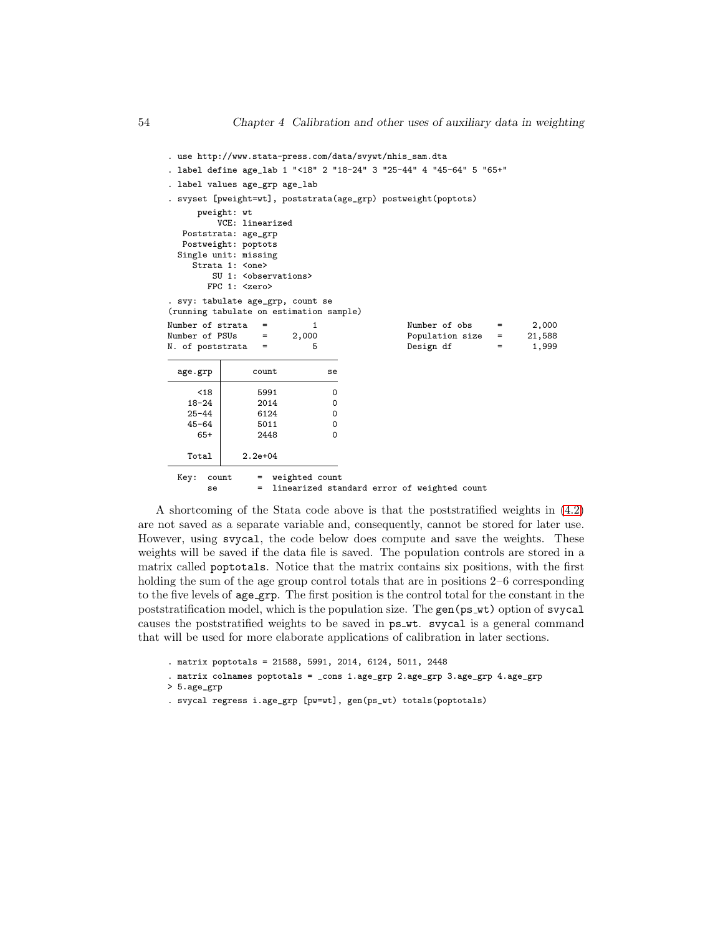```
. use http://www.stata-press.com/data/svywt/nhis_sam.dta
. label define age_lab 1 "<18" 2 "18-24" 3 "25-44" 4 "45-64" 5 "65+"
. label values age_grp age_lab
. svyset [pweight=wt], poststrata(age_grp) postweight(poptots)
      pweight: wt
           VCE: linearized
   Poststrata: age_grp
   Postweight: poptots
  Single unit: missing
     Strata 1: <one>
          SU 1: <observations>
         FPC 1: <zero>
. svy: tabulate age_grp, count se
(running tabulate on estimation sample)
Number of strata = \begin{array}{ccc} 1 & \text{Number of obs} & = & 2,000 \\ \text{Number of PSUs} & = & 2,000 \end{array} Population size = \begin{array}{ccc} 2,000 & \text{Population size} & = & 21,588 \end{array}= 2,000 Population size = 21,588<br>= 5 Design df = 1,999
N. of poststrata = 5 Design df
  age.grp count se
       \lt 18 5991 0
    \begin{array}{c|c} 18-24 & 2014 & 0 \\ 25-44 & 6124 & 0 \end{array}\begin{array}{c|cc}\n 25-44 & 6124 & 0 \\
 45-64 & 5011 & 0\n\end{array}45-64 5011 0<br>65+ 2448 0
       65+ 2448 0
    Total \t 2.2e+04Key: count = weighted countse = linearized standard error of weighted count
```
A shortcoming of the Stata code above is that the poststratified weights in (4.2) are not saved as a separate variable and, consequently, cannot be stored for later use. However, using svycal, the code below does compute and save the weights. These weights will be saved if the data file is saved. The population controls are stored in a matrix called poptotals. Notice that the matrix contains six positions, with the first holding the sum of the age group control totals that are in positions 2–6 corresponding to the five levels of age grp. The first position is the control total for the constant in the poststratification model, which is the population size. The gen(ps wt) option of svycal causes the poststratified weights to be saved in ps wt. svycal is a general command that will be used for more elaborate applications of calibration in later sections.

. matrix poptotals = 21588, 5991, 2014, 6124, 5011, 2448

- . matrix colnames poptotals = \_cons 1.age\_grp 2.age\_grp 3.age\_grp 4.age\_grp
- > 5.age\_grp
- . svycal regress i.age\_grp [pw=wt], gen(ps\_wt) totals(poptotals)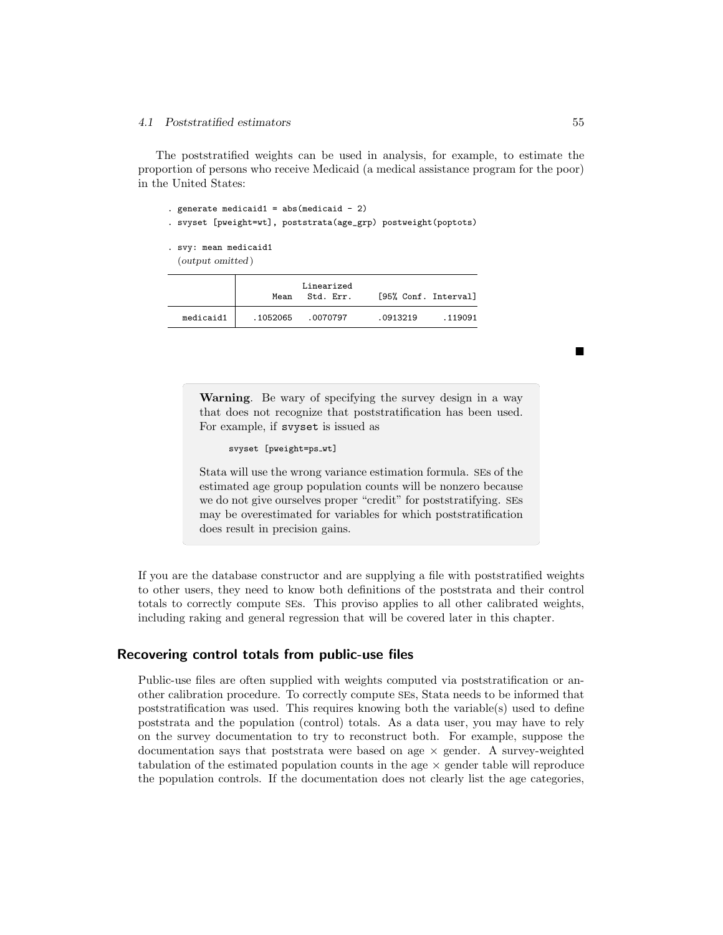#### 4.1 Poststratified estimators 55

The poststratified weights can be used in analysis, for example, to estimate the proportion of persons who receive Medicaid (a medical assistance program for the poor) in the United States:

```
. generate medicaid1 = abs(medical - 2). svyset [pweight=wt], poststrata(age_grp) postweight(poptots)
```
. svy: mean medicaid1 (output omitted )

|           | Mean     | Linearized<br>Std. Err. | [95% Conf. Interval] |         |
|-----------|----------|-------------------------|----------------------|---------|
| medicaid1 | .1052065 | .0070797                | .0913219             | .119091 |

Warning. Be wary of specifying the survey design in a way that does not recognize that poststratification has been used. For example, if svyset is issued as

```
svyset [pweight=ps wt]
```
Stata will use the wrong variance estimation formula. SEs of the estimated age group population counts will be nonzero because we do not give ourselves proper "credit" for poststratifying. SEs may be overestimated for variables for which poststratification does result in precision gains.

If you are the database constructor and are supplying a file with poststratified weights to other users, they need to know both definitions of the poststrata and their control totals to correctly compute SEs. This proviso applies to all other calibrated weights, including raking and general regression that will be covered later in this chapter.

### Recovering control totals from public-use files

Public-use files are often supplied with weights computed via poststratification or another calibration procedure. To correctly compute SEs, Stata needs to be informed that poststratification was used. This requires knowing both the variable(s) used to define poststrata and the population (control) totals. As a data user, you may have to rely on the survey documentation to try to reconstruct both. For example, suppose the documentation says that poststrata were based on age  $\times$  gender. A survey-weighted tabulation of the estimated population counts in the age  $\times$  gender table will reproduce the population controls. If the documentation does not clearly list the age categories,

 $\blacksquare$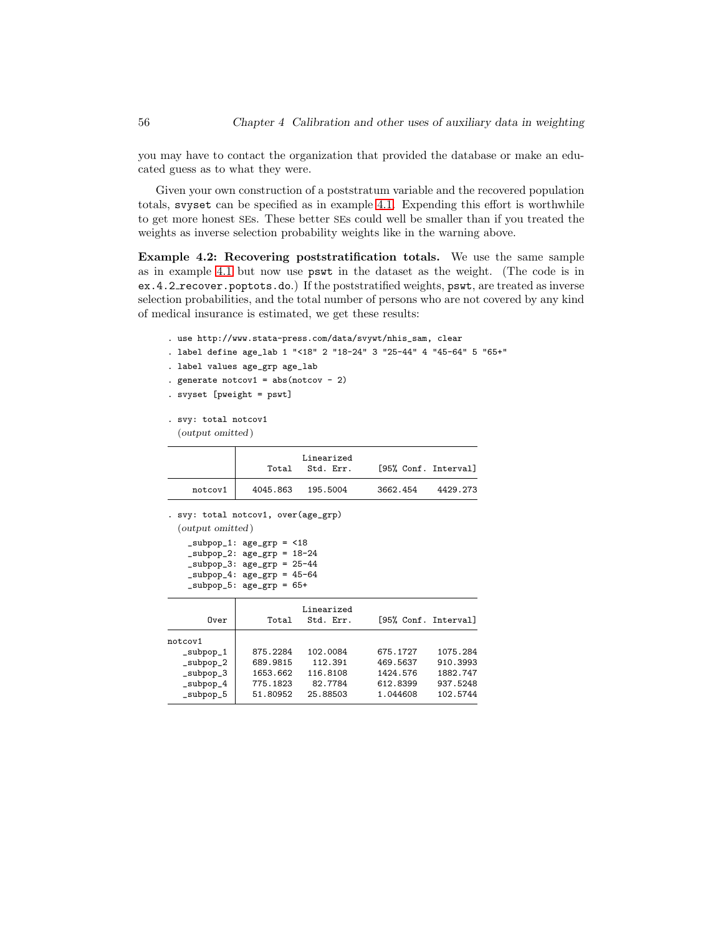you may have to contact the organization that provided the database or make an educated guess as to what they were.

Given your own construction of a poststratum variable and the recovered population totals, svyset can be specified as in example 4.1. Expending this effort is worthwhile to get more honest SEs. These better SEs could well be smaller than if you treated the weights as inverse selection probability weights like in the warning above.

Example 4.2: Recovering poststratification totals. We use the same sample as in example 4.1 but now use pswt in the dataset as the weight. (The code is in ex.4.2 recover.poptots.do.) If the poststratified weights, pswt, are treated as inverse selection probabilities, and the total number of persons who are not covered by any kind of medical insurance is estimated, we get these results:

- . use http://www.stata-press.com/data/svywt/nhis\_sam, clear
- . label define age\_lab 1 "<18" 2 "18-24" 3 "25-44" 4 "45-64" 5 "65+"
- . label values age\_grp age\_lab
- . generate  $notcov1 = abs(notcov 2)$
- . svyset [pweight = pswt]
- . svy: total notcov1 (output omitted )

|         | Total    | Linearized<br>Std. Err. | [95% Conf. Interval] |          |
|---------|----------|-------------------------|----------------------|----------|
| notcov1 | 4045.863 | 195.5004                | 3662.454             | 4429.273 |

. svy: total notcov1, over(age\_grp)

```
(output omitted )
```

```
\text{\_}subpop\_1: age\_grp = \langle 18subpop_2: age_2rp = 18-24subpop_3: age_2rp = 25-44subpop_4: age\_grp = 45-64_subpop_5: age_grp = 65+
```

| Over      | Total    | Linearized<br>Std. Err. | [95% Conf. Interval] |          |
|-----------|----------|-------------------------|----------------------|----------|
| notcov1   |          |                         |                      |          |
| _subpop_1 | 875.2284 | 102.0084                | 675.1727             | 1075.284 |
| _subpop_2 | 689.9815 | 112.391                 | 469.5637             | 910.3993 |
| _subpop_3 | 1653.662 | 116.8108                | 1424.576             | 1882.747 |
| _subpop_4 | 775.1823 | 82.7784                 | 612.8399             | 937.5248 |
| _subpop_5 | 51.80952 | 25.88503                | 1.044608             | 102.5744 |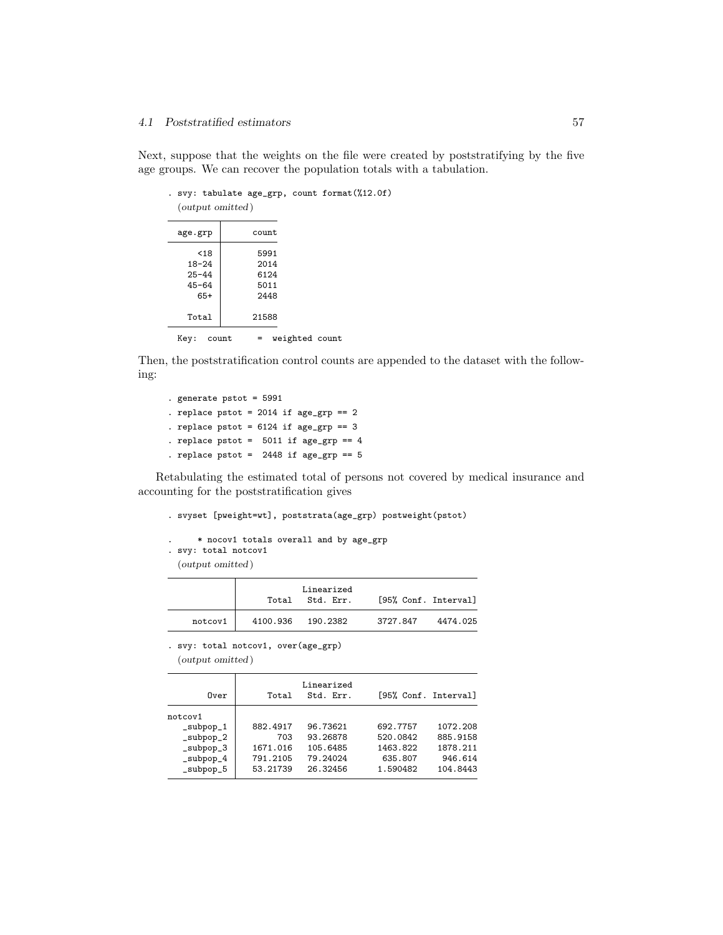#### 4.1 Poststratified estimators 57

Next, suppose that the weights on the file were created by poststratifying by the five age groups. We can recover the population totals with a tabulation.

. svy: tabulate age\_grp, count format(%12.0f) (output omitted ) age.grp count  $\begin{array}{c|c}\n\text{&} & 5991 \\
\text{&} & 2014\n\end{array}$ 18-24 2014<br>25-44 6124  $25-44$  6124<br>45-64 5011  $45 - 64$ 65+ 2448 Total 21588 Key: count = weighted count

Then, the poststratification control counts are appended to the dataset with the following:

. generate  $p<sub>stot</sub> = 5991$ . replace pstot =  $2014$  if age\_grp ==  $2$ . replace pstot =  $6124$  if age\_grp == 3 . replace pstot =  $5011$  if age\_grp ==  $4$ . replace pstot =  $2448$  if age\_grp ==  $5$ 

Retabulating the estimated total of persons not covered by medical insurance and accounting for the poststratification gives

```
. svyset [pweight=wt], poststrata(age_grp) postweight(pstot)
```

```
. * nocov1 totals overall and by age_grp
```

```
. svy: total notcov1
```
(output omitted )

|         | Total    | Linearized<br>Std. Err. | [95% Conf. Interval] |          |
|---------|----------|-------------------------|----------------------|----------|
| notcov1 | 4100.936 | 190.2382                | 3727.847             | 4474.025 |

. svy: total notcov1, over(age\_grp) (output omitted )

| Over      | Total    | Linearized<br>Std. Err. | [95% Conf. Interval] |          |
|-----------|----------|-------------------------|----------------------|----------|
| notcov1   |          |                         |                      |          |
| _subpop_1 | 882.4917 | 96.73621                | 692.7757             | 1072.208 |
| _subpop_2 | 703      | 93.26878                | 520.0842             | 885.9158 |
| _subpop_3 | 1671.016 | 105.6485                | 1463.822             | 1878.211 |
| _subpop_4 | 791.2105 | 79.24024                | 635.807              | 946.614  |
| _subpop_5 | 53.21739 | 26.32456                | 1.590482             | 104.8443 |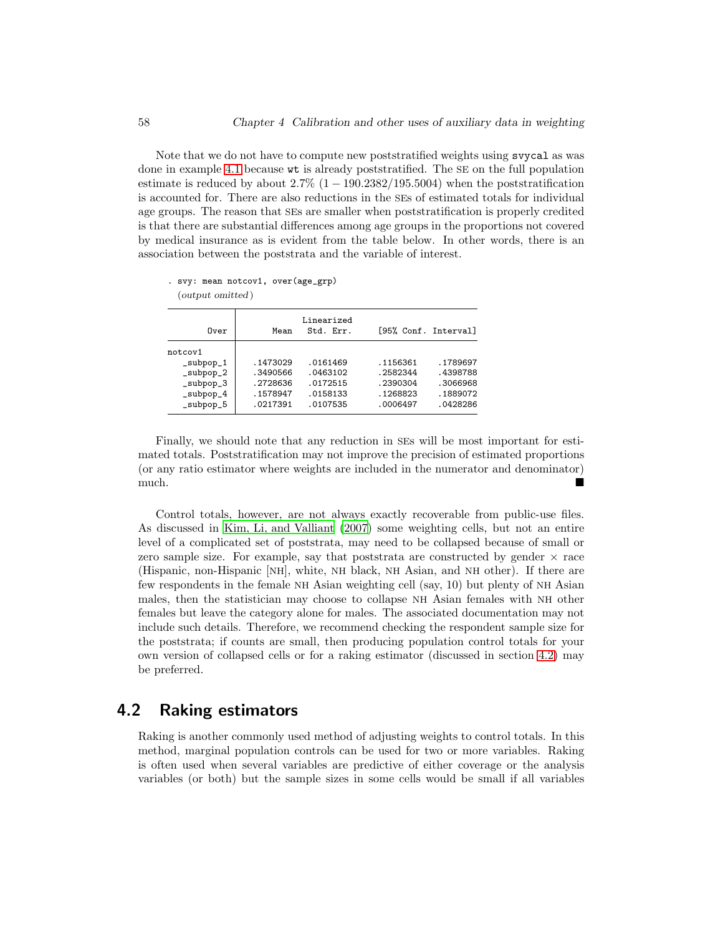Note that we do not have to compute new poststratified weights using svycal as was done in example 4.1 because wt is already poststratified. The SE on the full population estimate is reduced by about  $2.7\%$  (1 − 190.2382/195.5004) when the poststratification is accounted for. There are also reductions in the SEs of estimated totals for individual age groups. The reason that SEs are smaller when poststratification is properly credited is that there are substantial differences among age groups in the proportions not covered by medical insurance as is evident from the table below. In other words, there is an association between the poststrata and the variable of interest.

. svy: mean notcov1, over(age\_grp) (output omitted )

|           | Linearized |           |                      |          |  |  |
|-----------|------------|-----------|----------------------|----------|--|--|
| Over      | Mean       | Std. Err. | [95% Conf. Interval] |          |  |  |
| notcov1   |            |           |                      |          |  |  |
| _subpop_1 | .1473029   | .0161469  | .1156361             | .1789697 |  |  |
| _subpop_2 | .3490566   | .0463102  | .2582344             | .4398788 |  |  |
| _subpop_3 | .2728636   | .0172515  | .2390304             | .3066968 |  |  |
| _subpop_4 | .1578947   | .0158133  | .1268823             | .1889072 |  |  |
| _subpop_5 | .0217391   | .0107535  | .0006497             | .0428286 |  |  |

Finally, we should note that any reduction in SEs will be most important for estimated totals. Poststratification may not improve the precision of estimated proportions (or any ratio estimator where weights are included in the numerator and denominator) much.

Control totals, however, are not always exactly recoverable from public-use files. As discussed in Kim, Li, and Valliant (2007) some weighting cells, but not an entire level of a complicated set of poststrata, may need to be collapsed because of small or zero sample size. For example, say that poststrata are constructed by gender  $\times$  race (Hispanic, non-Hispanic [NH], white, NH black, NH Asian, and NH other). If there are few respondents in the female NH Asian weighting cell (say, 10) but plenty of NH Asian males, then the statistician may choose to collapse NH Asian females with NH other females but leave the category alone for males. The associated documentation may not include such details. Therefore, we recommend checking the respondent sample size for the poststrata; if counts are small, then producing population control totals for your own version of collapsed cells or for a raking estimator (discussed in section 4.2) may be preferred.

## 4.2 Raking estimators

Raking is another commonly used method of adjusting weights to control totals. In this method, marginal population controls can be used for two or more variables. Raking is often used when several variables are predictive of either coverage or the analysis variables (or both) but the sample sizes in some cells would be small if all variables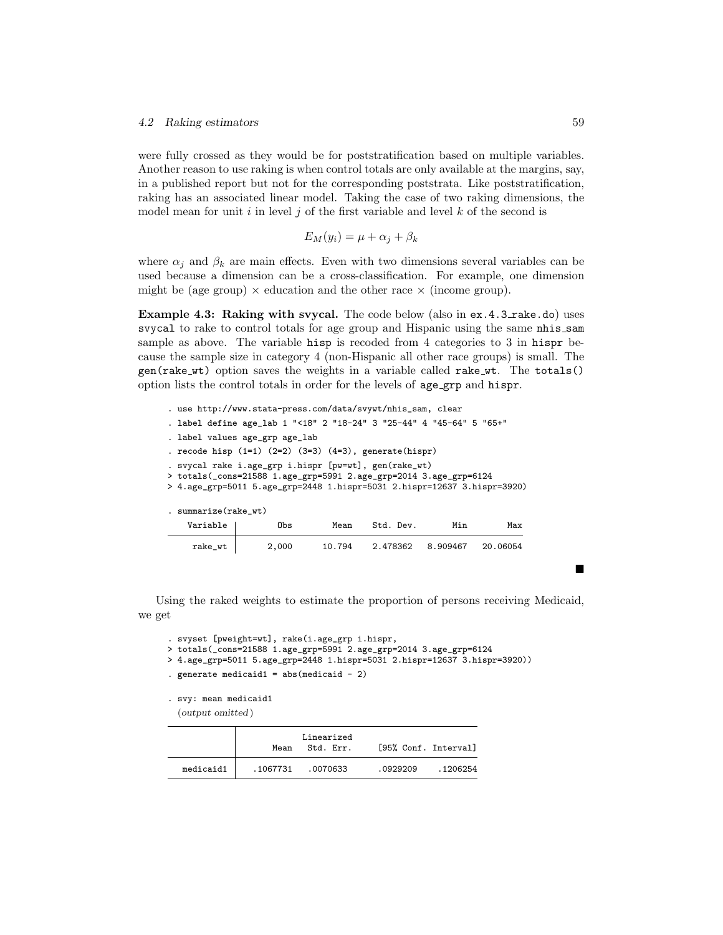#### 4.2 Raking estimators 59

were fully crossed as they would be for poststratification based on multiple variables. Another reason to use raking is when control totals are only available at the margins, say, in a published report but not for the corresponding poststrata. Like poststratification, raking has an associated linear model. Taking the case of two raking dimensions, the model mean for unit i in level j of the first variable and level  $k$  of the second is

$$
E_M(y_i) = \mu + \alpha_j + \beta_k
$$

where  $\alpha_j$  and  $\beta_k$  are main effects. Even with two dimensions several variables can be used because a dimension can be a cross-classification. For example, one dimension might be (age group)  $\times$  education and the other race  $\times$  (income group).

Example 4.3: Raking with svycal. The code below (also in ex.4.3 rake.do) uses svycal to rake to control totals for age group and Hispanic using the same nhis sam sample as above. The variable hisp is recoded from 4 categories to 3 in hispr because the sample size in category 4 (non-Hispanic all other race groups) is small. The gen(rake wt) option saves the weights in a variable called rake wt. The totals() option lists the control totals in order for the levels of age grp and hispr.

| . summarize $(\text{take\_wt})$<br>Variable                                                                                                   | Obs                                                                  | Mean | Std. Dev. | Min | Max |  |
|-----------------------------------------------------------------------------------------------------------------------------------------------|----------------------------------------------------------------------|------|-----------|-----|-----|--|
|                                                                                                                                               |                                                                      |      |           |     |     |  |
|                                                                                                                                               |                                                                      |      |           |     |     |  |
| > totals(_cons=21588 1.age_grp=5991 2.age_grp=2014 3.age_grp=6124<br>> 4.age_grp=5011 5.age_grp=2448 1.hispr=5031 2.hispr=12637 3.hispr=3920) |                                                                      |      |           |     |     |  |
| . svycal rake i.age_grp i.hispr [pw=wt], gen(rake_wt)                                                                                         |                                                                      |      |           |     |     |  |
| . recode hisp $(1=1)$ $(2=2)$ $(3=3)$ $(4=3)$ , generate(hispr)                                                                               |                                                                      |      |           |     |     |  |
| . label values age_grp age_lab                                                                                                                |                                                                      |      |           |     |     |  |
|                                                                                                                                               | . label define age_lab 1 "<18" 2 "18-24" 3 "25-44" 4 "45-64" 5 "65+" |      |           |     |     |  |
|                                                                                                                                               |                                                                      |      |           |     |     |  |

Using the raked weights to estimate the proportion of persons receiving Medicaid, we get

```
. svyset [pweight=wt], rake(i.age_grp i.hispr,
```

```
> totals(_cons=21588 1.age_grp=5991 2.age_grp=2014 3.age_grp=6124
```
- > 4.age\_grp=5011 5.age\_grp=2448 1.hispr=5031 2.hispr=12637 3.hispr=3920))
- . generate medicaid1 =  $abs(medical 2)$

```
. svy: mean medicaid1
```
(output omitted )

|           | Mean     | Linearized<br>Std. Err. | [95% Conf. Interval] |          |
|-----------|----------|-------------------------|----------------------|----------|
| medicaid1 | .1067731 | .0070633                | .0929209             | .1206254 |

 $\blacksquare$